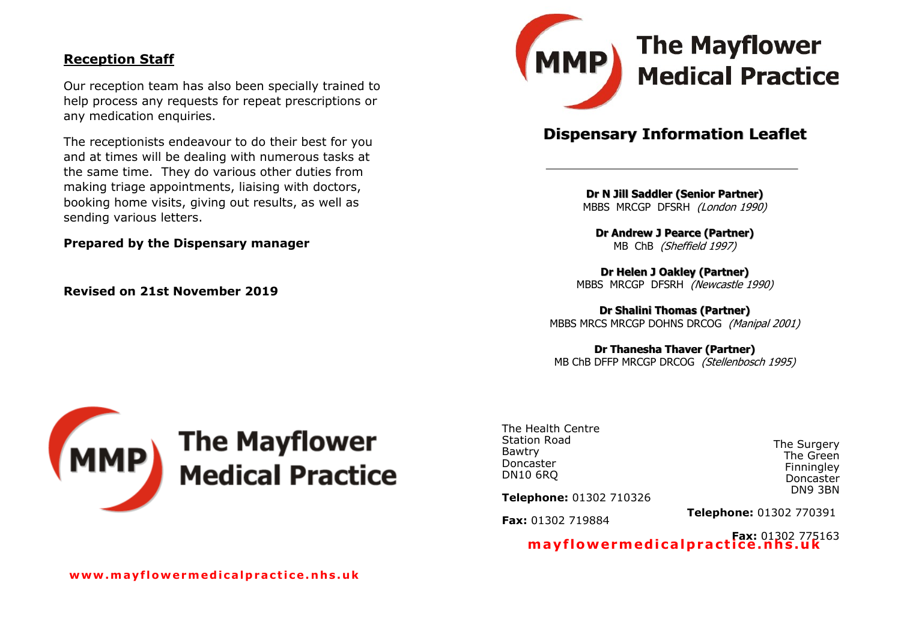#### **Reception Staff**

Our reception team has also been specially trained to help process any requests for repeat prescriptions or any medication enquiries.

The receptionists endeavour to do their best for you and at times will be dealing with numerous tasks at the same time. They do various other duties from making triage appointments, liaising with doctors, booking home visits, giving out results, as well as sending various letters.

**Prepared by the Dispensary manager** 

**Revised on 21st November 2019**



# **Dispensary Information Leaflet**

**Dr N Jill Saddler (Senior Partner)** MBBS MRCGP DFSRH (London 1990)

**Dr Andrew J Pearce (Partner)** MB ChB (Sheffield 1997)

**Dr Helen J Oakley (Partner)** MBBS MRCGP DFSRH (Newcastle 1990)

**Dr Shalini Thomas (Partner)** MBBS MRCS MRCGP DOHNS DRCOG (Manipal 2001)

**Dr Thanesha Thaver (Partner)**

MB ChB DFFP MRCGP DRCOG (Stellenbosch 1995)



The Health Centre Station Road Bawtry Doncaster DN10 6RQ

The Surgery The Green **Finningley** Doncaster DN9 3BN

**Telephone:** 01302 710326

**Fax:** 01302 719884

**Telephone:** 01302 770391

**Fax:** 01302 775163 **ma y f lowe rmed i ca lpra c t ice . n h s . uk**

**www .m a y f l ow e rm e d i c a lp r a c t i c e . n h s . u k**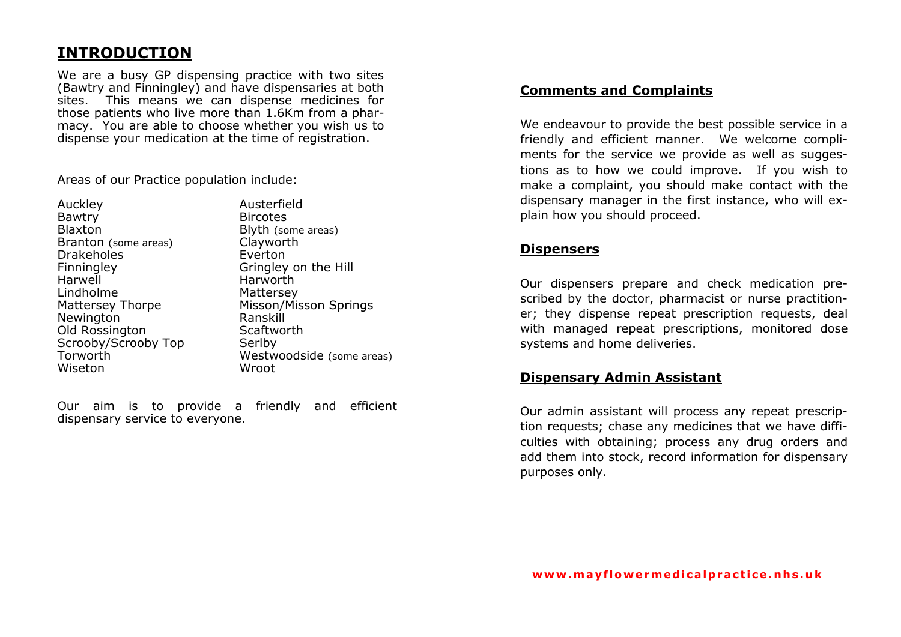# **INTRODUCTION**

We are a busy GP dispensing practice with two sites (Bawtry and Finningley) and have dispensaries at both sites. This means we can dispense medicines for those patients who live more than 1.6Km from a pharmacy. You are able to choose whether you wish us to dispense your medication at the time of registration.

Areas of our Practice population include:

| Auckley                 |
|-------------------------|
| Bawtry                  |
| <b>Blaxton</b>          |
| Branton (some areas)    |
| <b>Drakeholes</b>       |
| Finningley              |
| Harwell                 |
| I indholme              |
| <b>Mattersey Thorpe</b> |
| Newington               |
| Old Rossington          |
| Scrooby/Scrooby Top     |
| Torworth                |
| Wiseton                 |
|                         |

Austerfield **Bircotes** Blyth (some areas) Clayworth **Fverton** Gringley on the Hill **Harworth** Mattersey Misson/Misson Springs Ranskill Scaftworth Serlby  $Westwoodside$  (some areas) Wroot

Our aim is to provide a friendly and efficient dispensary service to everyone.

### **Comments and Complaints**

We endeavour to provide the best possible service in a friendly and efficient manner. We welcome compliments for the service we provide as well as suggestions as to how we could improve. If you wish to make a complaint, you should make contact with the dispensary manager in the first instance, who will explain how you should proceed.

#### **Dispensers**

Our dispensers prepare and check medication prescribed by the doctor, pharmacist or nurse practitioner; they dispense repeat prescription requests, deal with managed repeat prescriptions, monitored dose systems and home deliveries.

#### **Dispensary Admin Assistant**

Our admin assistant will process any repeat prescription requests; chase any medicines that we have difficulties with obtaining; process any drug orders and add them into stock, record information for dispensary purposes only.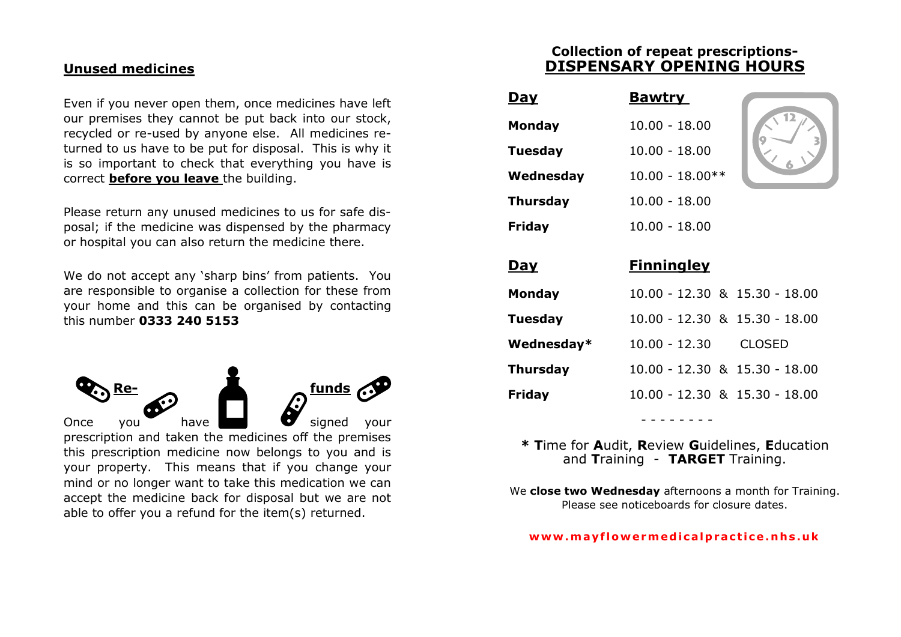### **Unused medicines**

Even if you never open them, once medicines have left our premises they cannot be put back into our stock, recycled or re-used by anyone else. All medicines returned to us have to be put for disposal. This is why it is so important to check that everything you have is correct **before you leave** the building.

Please return any unused medicines to us for safe disposal; if the medicine was dispensed by the pharmacy or hospital you can also return the medicine there.

We do not accept any 'sharp bins' from patients. You are responsible to organise a collection for these from your home and this can be organised by contacting this number **0333 240 5153**



able to offer you a refund for the item(s) returned.

**Collection of repeat prescriptions-DISPENSARY OPENING HOURS**

| <u>Day</u>      | <b>Bawtry</b>                 |    |
|-----------------|-------------------------------|----|
| <b>Monday</b>   | $10.00 - 18.00$               | 12 |
| <b>Tuesday</b>  | $10.00 - 18.00$               |    |
| Wednesday       | $10.00 - 18.00**$             |    |
| <b>Thursday</b> | $10.00 - 18.00$               |    |
| <b>Friday</b>   | $10.00 - 18.00$               |    |
| Day             | <b>Finningley</b>             |    |
| <b>Monday</b>   | 10.00 - 12.30 & 15.30 - 18.00 |    |
| <b>Tuesday</b>  | 10.00 - 12.30 & 15.30 - 18.00 |    |
| Wednesday*      |                               |    |
|                 | 10.00 - 12.30 CLOSED          |    |
| <b>Thursday</b> | 10.00 - 12.30 & 15.30 - 18.00 |    |

**\* T**ime for **A**udit, **R**eview **G**uidelines, **E**ducation and **T**raining - **TARGET** Training.

- - - - - - - -

We **close two Wednesday** afternoons a month for Training. Please see noticeboards for closure dates.

#### **www .m a y f l ow e rm e d i c a lp r a c t i c e . n h s . u k**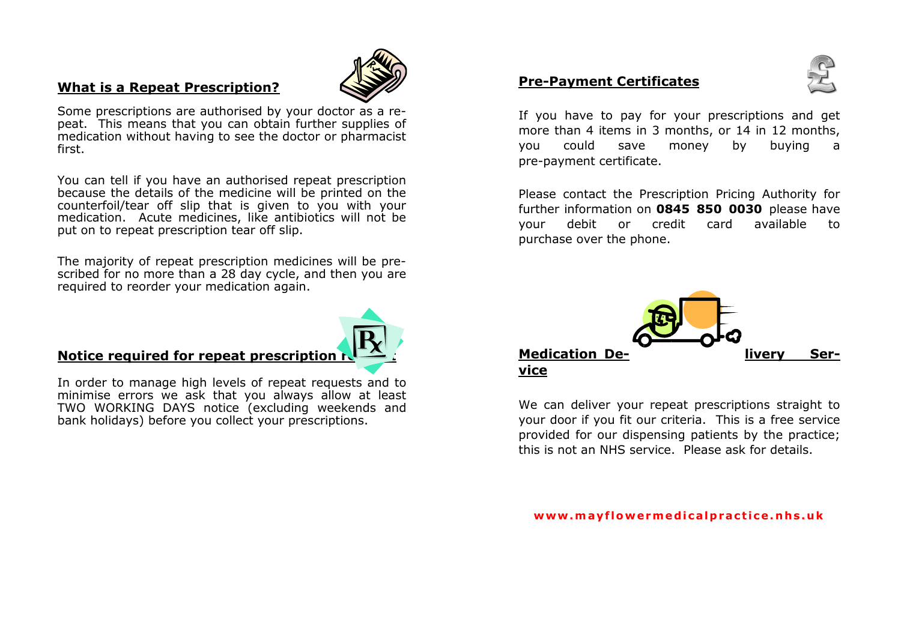### **What is a Repeat Prescription?**



Some prescriptions are authorised by your doctor as a repeat. This means that you can obtain further supplies of medication without having to see the doctor or pharmacist first.

You can tell if you have an authorised repeat prescription because the details of the medicine will be printed on the counterfoil/tear off slip that is given to you with your medication. Acute medicines, like antibiotics will not be put on to repeat prescription tear off slip.

The majority of repeat prescription medicines will be prescribed for no more than a 28 day cycle, and then you are required to reorder your medication again.

## **Notice required for repeat prescription**

In order to manage high levels of repeat requests and to minimise errors we ask that you always allow at least TWO WORKING DAYS notice (excluding weekends and bank holidays) before you collect your prescriptions.

### **Pre-Payment Certificates**



If you have to pay for your prescriptions and get more than 4 items in 3 months, or 14 in 12 months. you could save money by buying a pre-payment certificate.

Please contact the Prescription Pricing Authority for further information on **0845 850 0030** please have your debit or credit card available to purchase over the phone.



We can deliver your repeat prescriptions straight to your door if you fit our criteria. This is a free service provided for our dispensing patients by the practice; this is not an NHS service. Please ask for details.

#### www.mayflowermedicalpractice.nhs.uk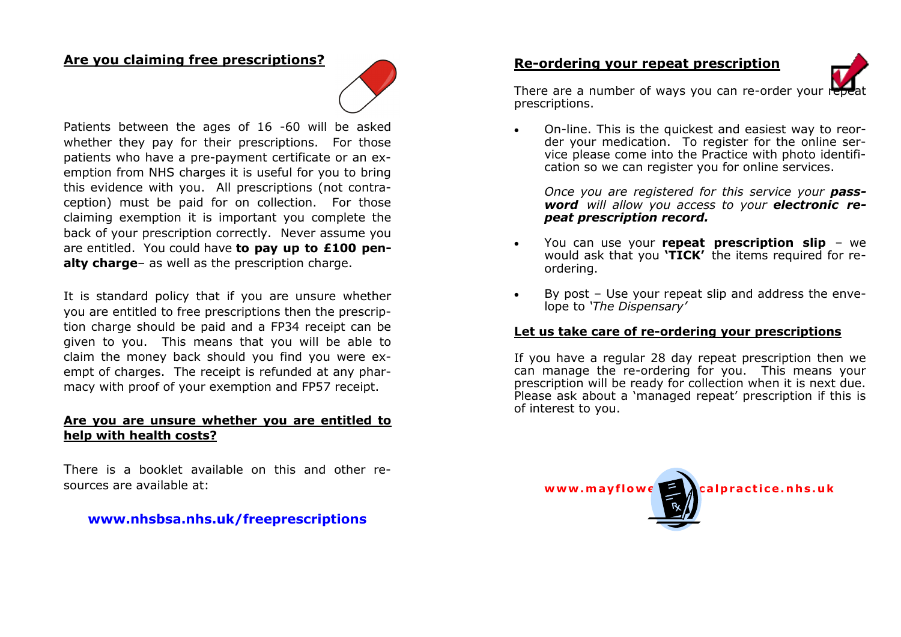#### **Are you claiming free prescriptions?**



Patients between the ages of 16 -60 will be asked whether they pay for their prescriptions. For those patients who have a pre-payment certificate or an exemption from NHS charges it is useful for you to bring this evidence with you. All prescriptions (not contraception) must be paid for on collection. For those claiming exemption it is important you complete the back of your prescription correctly. Never assume you are entitled. You could have **to pay up to £100 penalty charge**– as well as the prescription charge.

It is standard policy that if you are unsure whether you are entitled to free prescriptions then the prescription charge should be paid and a FP34 receipt can be given to you. This means that you will be able to claim the money back should you find you were exempt of charges. The receipt is refunded at any pharmacy with proof of your exemption and FP57 receipt.

#### **Are you are unsure whether you are entitled to help with health costs?**

There is a booklet available on this and other resources are available at:

### **www.nhsbsa.nhs.uk/freeprescriptions**

#### **Re-ordering your repeat prescription**



There are a number of ways you can re-order your  $\frac{1}{2}$ prescriptions.

 On-line. This is the quickest and easiest way to reorder your medication. To register for the online service please come into the Practice with photo identification so we can register you for online services.

Once you are registered for this service your **pass***word will allow you access to your electronic repeat prescription record.*

- You can use your **repeat prescription slip**  we would ask that you **'TICK'** the items required for reordering.
- By post Use your repeat slip and address the envelope to *'The Dispensary'*

#### **Let us take care of re-ordering your prescriptions**

If you have a regular 28 day repeat prescription then we can manage the re-ordering for you. This means your prescription will be ready for collection when it is next due. Please ask about a 'managed repeat' prescription if this is of interest to you.